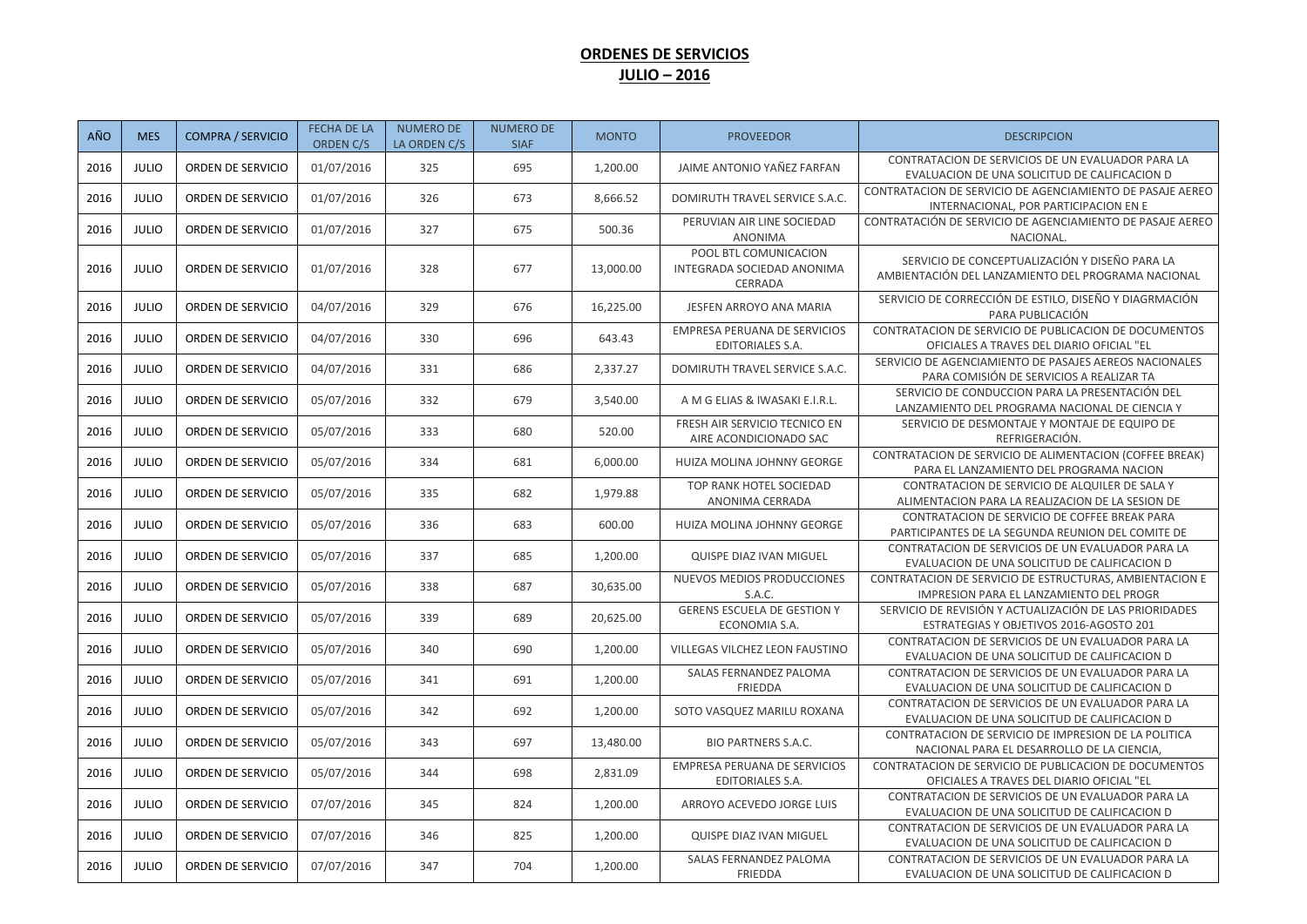## **ORDENES DE SERVICIOS JULIO – 2016**

| AÑO  | <b>MES</b>   | <b>COMPRA / SERVICIO</b> | <b>FECHA DE LA</b><br>ORDEN C/S | <b>NUMERO DE</b><br>LA ORDEN C/S | <b>NUMERO DE</b><br><b>SIAF</b> | <b>MONTO</b> | <b>PROVEEDOR</b>                                               | <b>DESCRIPCION</b>                                                                                   |
|------|--------------|--------------------------|---------------------------------|----------------------------------|---------------------------------|--------------|----------------------------------------------------------------|------------------------------------------------------------------------------------------------------|
| 2016 | <b>JULIO</b> | ORDEN DE SERVICIO        | 01/07/2016                      | 325                              | 695                             | 1,200.00     | JAIME ANTONIO YAÑEZ FARFAN                                     | CONTRATACION DE SERVICIOS DE UN EVALUADOR PARA LA<br>EVALUACION DE UNA SOLICITUD DE CALIFICACION D   |
| 2016 | <b>JULIO</b> | ORDEN DE SERVICIO        | 01/07/2016                      | 326                              | 673                             | 8,666.52     | DOMIRUTH TRAVEL SERVICE S.A.C.                                 | CONTRATACION DE SERVICIO DE AGENCIAMIENTO DE PASAJE AEREO<br>INTERNACIONAL, POR PARTICIPACION EN E   |
| 2016 | <b>JULIO</b> | ORDEN DE SERVICIO        | 01/07/2016                      | 327                              | 675                             | 500.36       | PERUVIAN AIR LINE SOCIEDAD<br>ANONIMA                          | CONTRATACIÓN DE SERVICIO DE AGENCIAMIENTO DE PASAJE AEREO<br>NACIONAL.                               |
| 2016 | <b>JULIO</b> | ORDEN DE SERVICIO        | 01/07/2016                      | 328                              | 677                             | 13,000.00    | POOL BTL COMUNICACION<br>INTEGRADA SOCIEDAD ANONIMA<br>CERRADA | SERVICIO DE CONCEPTUALIZACIÓN Y DISEÑO PARA LA<br>AMBIENTACIÓN DEL LANZAMIENTO DEL PROGRAMA NACIONAL |
| 2016 | <b>JULIO</b> | ORDEN DE SERVICIO        | 04/07/2016                      | 329                              | 676                             | 16,225.00    | JESFEN ARROYO ANA MARIA                                        | SERVICIO DE CORRECCIÓN DE ESTILO, DISEÑO Y DIAGRMACIÓN<br>PARA PUBLICACIÓN                           |
| 2016 | <b>JULIO</b> | ORDEN DE SERVICIO        | 04/07/2016                      | 330                              | 696                             | 643.43       | <b>EMPRESA PERUANA DE SERVICIOS</b><br>EDITORIALES S.A.        | CONTRATACION DE SERVICIO DE PUBLICACION DE DOCUMENTOS<br>OFICIALES A TRAVES DEL DIARIO OFICIAL "EL   |
| 2016 | <b>JULIO</b> | ORDEN DE SERVICIO        | 04/07/2016                      | 331                              | 686                             | 2,337.27     | DOMIRUTH TRAVEL SERVICE S.A.C.                                 | SERVICIO DE AGENCIAMIENTO DE PASAJES AEREOS NACIONALES<br>PARA COMISIÓN DE SERVICIOS A REALIZAR TA   |
| 2016 | <b>JULIO</b> | ORDEN DE SERVICIO        | 05/07/2016                      | 332                              | 679                             | 3,540.00     | A M G ELIAS & IWASAKI E.I.R.L.                                 | SERVICIO DE CONDUCCION PARA LA PRESENTACIÓN DEL<br>LANZAMIENTO DEL PROGRAMA NACIONAL DE CIENCIA Y    |
| 2016 | <b>JULIO</b> | ORDEN DE SERVICIO        | 05/07/2016                      | 333                              | 680                             | 520.00       | FRESH AIR SERVICIO TECNICO EN<br>AIRE ACONDICIONADO SAC        | SERVICIO DE DESMONTAJE Y MONTAJE DE EQUIPO DE<br>REFRIGERACIÓN.                                      |
| 2016 | <b>JULIO</b> | ORDEN DE SERVICIO        | 05/07/2016                      | 334                              | 681                             | 6,000.00     | HUIZA MOLINA JOHNNY GEORGE                                     | CONTRATACION DE SERVICIO DE ALIMENTACION (COFFEE BREAK)<br>PARA EL LANZAMIENTO DEL PROGRAMA NACION   |
| 2016 | <b>JULIO</b> | ORDEN DE SERVICIO        | 05/07/2016                      | 335                              | 682                             | 1,979.88     | TOP RANK HOTEL SOCIEDAD<br>ANONIMA CERRADA                     | CONTRATACION DE SERVICIO DE ALQUILER DE SALA Y<br>ALIMENTACION PARA LA REALIZACION DE LA SESION DE   |
| 2016 | <b>JULIO</b> | ORDEN DE SERVICIO        | 05/07/2016                      | 336                              | 683                             | 600.00       | HUIZA MOLINA JOHNNY GEORGE                                     | CONTRATACION DE SERVICIO DE COFFEE BREAK PARA<br>PARTICIPANTES DE LA SEGUNDA REUNION DEL COMITE DE   |
| 2016 | <b>JULIO</b> | ORDEN DE SERVICIO        | 05/07/2016                      | 337                              | 685                             | 1,200.00     | QUISPE DIAZ IVAN MIGUEL                                        | CONTRATACION DE SERVICIOS DE UN EVALUADOR PARA LA<br>EVALUACION DE UNA SOLICITUD DE CALIFICACION D   |
| 2016 | <b>JULIO</b> | ORDEN DE SERVICIO        | 05/07/2016                      | 338                              | 687                             | 30,635.00    | NUEVOS MEDIOS PRODUCCIONES<br>S.A.C.                           | CONTRATACION DE SERVICIO DE ESTRUCTURAS, AMBIENTACION E<br>IMPRESION PARA EL LANZAMIENTO DEL PROGR   |
| 2016 | <b>JULIO</b> | ORDEN DE SERVICIO        | 05/07/2016                      | 339                              | 689                             | 20,625.00    | <b>GERENS ESCUELA DE GESTION Y</b><br>ECONOMIA S.A.            | SERVICIO DE REVISIÓN Y ACTUALIZACIÓN DE LAS PRIORIDADES<br>ESTRATEGIAS Y OBJETIVOS 2016-AGOSTO 201   |
| 2016 | <b>JULIO</b> | ORDEN DE SERVICIO        | 05/07/2016                      | 340                              | 690                             | 1,200.00     | VILLEGAS VILCHEZ LEON FAUSTINO                                 | CONTRATACION DE SERVICIOS DE UN EVALUADOR PARA LA<br>EVALUACION DE UNA SOLICITUD DE CALIFICACION D   |
| 2016 | <b>JULIO</b> | ORDEN DE SERVICIO        | 05/07/2016                      | 341                              | 691                             | 1,200.00     | SALAS FERNANDEZ PALOMA<br>FRIEDDA                              | CONTRATACION DE SERVICIOS DE UN EVALUADOR PARA LA<br>EVALUACION DE UNA SOLICITUD DE CALIFICACION D   |
| 2016 | <b>JULIO</b> | ORDEN DE SERVICIO        | 05/07/2016                      | 342                              | 692                             | 1,200.00     | SOTO VASQUEZ MARILU ROXANA                                     | CONTRATACION DE SERVICIOS DE UN EVALUADOR PARA LA<br>EVALUACION DE UNA SOLICITUD DE CALIFICACION D   |
| 2016 | <b>JULIO</b> | ORDEN DE SERVICIO        | 05/07/2016                      | 343                              | 697                             | 13,480.00    | <b>BIO PARTNERS S.A.C.</b>                                     | CONTRATACION DE SERVICIO DE IMPRESION DE LA POLITICA<br>NACIONAL PARA EL DESARROLLO DE LA CIENCIA,   |
| 2016 | <b>JULIO</b> | ORDEN DE SERVICIO        | 05/07/2016                      | 344                              | 698                             | 2,831.09     | EMPRESA PERUANA DE SERVICIOS<br><b>EDITORIALES S.A.</b>        | CONTRATACION DE SERVICIO DE PUBLICACION DE DOCUMENTOS<br>OFICIALES A TRAVES DEL DIARIO OFICIAL "EL   |
| 2016 | <b>JULIO</b> | ORDEN DE SERVICIO        | 07/07/2016                      | 345                              | 824                             | 1,200.00     | ARROYO ACEVEDO JORGE LUIS                                      | CONTRATACION DE SERVICIOS DE UN EVALUADOR PARA LA<br>EVALUACION DE UNA SOLICITUD DE CALIFICACION D   |
| 2016 | <b>JULIO</b> | ORDEN DE SERVICIO        | 07/07/2016                      | 346                              | 825                             | 1,200.00     | QUISPE DIAZ IVAN MIGUEL                                        | CONTRATACION DE SERVICIOS DE UN EVALUADOR PARA LA<br>EVALUACION DE UNA SOLICITUD DE CALIFICACION D   |
| 2016 | <b>JULIO</b> | ORDEN DE SERVICIO        | 07/07/2016                      | 347                              | 704                             | 1,200.00     | SALAS FERNANDEZ PALOMA<br><b>FRIEDDA</b>                       | CONTRATACION DE SERVICIOS DE UN EVALUADOR PARA LA<br>EVALUACION DE UNA SOLICITUD DE CALIFICACION D   |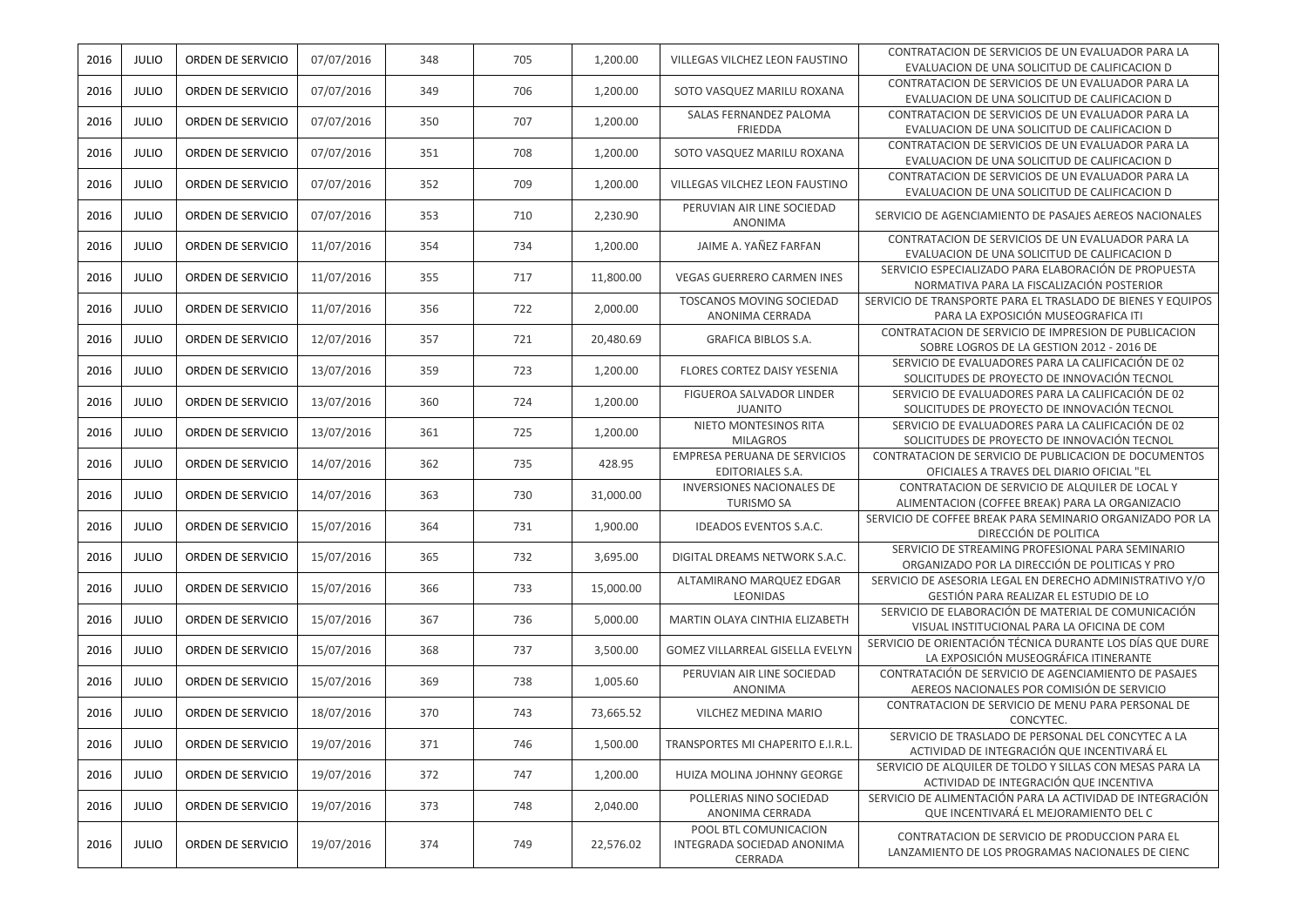| 2016 | JULIO        | ORDEN DE SERVICIO | 07/07/2016 | 348 | 705 | 1,200.00  | VILLEGAS VILCHEZ LEON FAUSTINO                                 | CONTRATACION DE SERVICIOS DE UN EVALUADOR PARA LA<br>EVALUACION DE UNA SOLICITUD DE CALIFICACION D |
|------|--------------|-------------------|------------|-----|-----|-----------|----------------------------------------------------------------|----------------------------------------------------------------------------------------------------|
| 2016 | <b>JULIO</b> | ORDEN DE SERVICIO | 07/07/2016 | 349 | 706 | 1,200.00  | SOTO VASQUEZ MARILU ROXANA                                     | CONTRATACION DE SERVICIOS DE UN EVALUADOR PARA LA<br>EVALUACION DE UNA SOLICITUD DE CALIFICACION D |
| 2016 | <b>JULIO</b> | ORDEN DE SERVICIO | 07/07/2016 | 350 | 707 | 1,200.00  | SALAS FERNANDEZ PALOMA<br>FRIEDDA                              | CONTRATACION DE SERVICIOS DE UN EVALUADOR PARA LA<br>EVALUACION DE UNA SOLICITUD DE CALIFICACION D |
| 2016 | <b>JULIO</b> | ORDEN DE SERVICIO | 07/07/2016 | 351 | 708 | 1,200.00  | SOTO VASQUEZ MARILU ROXANA                                     | CONTRATACION DE SERVICIOS DE UN EVALUADOR PARA LA<br>EVALUACION DE UNA SOLICITUD DE CALIFICACION D |
| 2016 | <b>JULIO</b> | ORDEN DE SERVICIO | 07/07/2016 | 352 | 709 | 1,200.00  | VILLEGAS VILCHEZ LEON FAUSTINO                                 | CONTRATACION DE SERVICIOS DE UN EVALUADOR PARA LA<br>EVALUACION DE UNA SOLICITUD DE CALIFICACION D |
| 2016 | <b>JULIO</b> | ORDEN DE SERVICIO | 07/07/2016 | 353 | 710 | 2,230.90  | PERUVIAN AIR LINE SOCIEDAD<br>ANONIMA                          | SERVICIO DE AGENCIAMIENTO DE PASAJES AEREOS NACIONALES                                             |
| 2016 | <b>JULIO</b> | ORDEN DE SERVICIO | 11/07/2016 | 354 | 734 | 1,200.00  | JAIME A. YAÑEZ FARFAN                                          | CONTRATACION DE SERVICIOS DE UN EVALUADOR PARA LA<br>EVALUACION DE UNA SOLICITUD DE CALIFICACION D |
| 2016 | <b>JULIO</b> | ORDEN DE SERVICIO | 11/07/2016 | 355 | 717 | 11,800.00 | <b>VEGAS GUERRERO CARMEN INES</b>                              | SERVICIO ESPECIALIZADO PARA ELABORACIÓN DE PROPUESTA<br>NORMATIVA PARA LA FISCALIZACIÓN POSTERIOR  |
| 2016 | <b>JULIO</b> | ORDEN DE SERVICIO | 11/07/2016 | 356 | 722 | 2,000.00  | <b>TOSCANOS MOVING SOCIEDAD</b><br>ANONIMA CERRADA             | SERVICIO DE TRANSPORTE PARA EL TRASLADO DE BIENES Y EQUIPOS<br>PARA LA EXPOSICIÓN MUSEOGRAFICA ITI |
| 2016 | <b>JULIO</b> | ORDEN DE SERVICIO | 12/07/2016 | 357 | 721 | 20,480.69 | GRAFICA BIBLOS S.A.                                            | CONTRATACION DE SERVICIO DE IMPRESION DE PUBLICACION<br>SOBRE LOGROS DE LA GESTION 2012 - 2016 DE  |
| 2016 | <b>JULIO</b> | ORDEN DE SERVICIO | 13/07/2016 | 359 | 723 | 1,200.00  | FLORES CORTEZ DAISY YESENIA                                    | SERVICIO DE EVALUADORES PARA LA CALIFICACIÓN DE 02<br>SOLICITUDES DE PROYECTO DE INNOVACIÓN TECNOL |
| 2016 | <b>JULIO</b> | ORDEN DE SERVICIO | 13/07/2016 | 360 | 724 | 1,200.00  | FIGUEROA SALVADOR LINDER<br><b>JUANITO</b>                     | SERVICIO DE EVALUADORES PARA LA CALIFICACIÓN DE 02<br>SOLICITUDES DE PROYECTO DE INNOVACIÓN TECNOL |
| 2016 | <b>JULIO</b> | ORDEN DE SERVICIO | 13/07/2016 | 361 | 725 | 1,200.00  | NIETO MONTESINOS RITA<br><b>MILAGROS</b>                       | SERVICIO DE EVALUADORES PARA LA CALIFICACIÓN DE 02<br>SOLICITUDES DE PROYECTO DE INNOVACIÓN TECNOL |
| 2016 | <b>JULIO</b> | ORDEN DE SERVICIO | 14/07/2016 | 362 | 735 | 428.95    | EMPRESA PERUANA DE SERVICIOS<br><b>EDITORIALES S.A.</b>        | CONTRATACION DE SERVICIO DE PUBLICACION DE DOCUMENTOS<br>OFICIALES A TRAVES DEL DIARIO OFICIAL "EL |
| 2016 | <b>JULIO</b> | ORDEN DE SERVICIO | 14/07/2016 | 363 | 730 | 31,000.00 | INVERSIONES NACIONALES DE<br><b>TURISMO SA</b>                 | CONTRATACION DE SERVICIO DE ALQUILER DE LOCAL Y<br>ALIMENTACION (COFFEE BREAK) PARA LA ORGANIZACIO |
| 2016 | <b>JULIO</b> | ORDEN DE SERVICIO | 15/07/2016 | 364 | 731 | 1,900.00  | <b>IDEADOS EVENTOS S.A.C.</b>                                  | SERVICIO DE COFFEE BREAK PARA SEMINARIO ORGANIZADO POR LA<br>DIRECCIÓN DE POLITICA                 |
| 2016 | <b>JULIO</b> | ORDEN DE SERVICIO | 15/07/2016 | 365 | 732 | 3,695.00  | DIGITAL DREAMS NETWORK S.A.C.                                  | SERVICIO DE STREAMING PROFESIONAL PARA SEMINARIO<br>ORGANIZADO POR LA DIRECCIÓN DE POLITICAS Y PRO |
| 2016 | <b>JULIO</b> | ORDEN DE SERVICIO | 15/07/2016 | 366 | 733 | 15,000.00 | ALTAMIRANO MARQUEZ EDGAR<br>LEONIDAS                           | SERVICIO DE ASESORIA LEGAL EN DERECHO ADMINISTRATIVO Y/O<br>GESTIÓN PARA REALIZAR EL ESTUDIO DE LO |
| 2016 | <b>JULIO</b> | ORDEN DE SERVICIO | 15/07/2016 | 367 | 736 | 5,000.00  | MARTIN OLAYA CINTHIA ELIZABETH                                 | SERVICIO DE ELABORACIÓN DE MATERIAL DE COMUNICACIÓN<br>VISUAL INSTITUCIONAL PARA LA OFICINA DE COM |
| 2016 | <b>JULIO</b> | ORDEN DE SERVICIO | 15/07/2016 | 368 | 737 | 3,500.00  | GOMEZ VILLARREAL GISELLA EVELYN                                | SERVICIO DE ORIENTACIÓN TÉCNICA DURANTE LOS DÍAS QUE DURE<br>LA EXPOSICIÓN MUSEOGRÁFICA ITINERANTE |
| 2016 | <b>JULIO</b> | ORDEN DE SERVICIO | 15/07/2016 | 369 | 738 | 1,005.60  | PERUVIAN AIR LINE SOCIEDAD<br>ANONIMA                          | CONTRATACIÓN DE SERVICIO DE AGENCIAMIENTO DE PASAJES<br>AEREOS NACIONALES POR COMISIÓN DE SERVICIO |
| 2016 | <b>JULIO</b> | ORDEN DE SERVICIO | 18/07/2016 | 370 | 743 | 73,665.52 | VILCHEZ MEDINA MARIO                                           | CONTRATACION DE SERVICIO DE MENU PARA PERSONAL DE<br>CONCYTEC.                                     |
| 2016 | JULIO        | ORDEN DE SERVICIO | 19/07/2016 | 371 | 746 | 1,500.00  | TRANSPORTES MI CHAPERITO E.I.R.L.                              | SERVICIO DE TRASLADO DE PERSONAL DEL CONCYTEC A LA<br>ACTIVIDAD DE INTEGRACIÓN QUE INCENTIVARÁ EL  |
| 2016 | <b>JULIO</b> | ORDEN DE SERVICIO | 19/07/2016 | 372 | 747 | 1,200.00  | HUIZA MOLINA JOHNNY GEORGE                                     | SERVICIO DE ALQUILER DE TOLDO Y SILLAS CON MESAS PARA LA<br>ACTIVIDAD DE INTEGRACIÓN QUE INCENTIVA |
| 2016 | <b>JULIO</b> | ORDEN DE SERVICIO | 19/07/2016 | 373 | 748 | 2,040.00  | POLLERIAS NINO SOCIEDAD<br>ANONIMA CERRADA                     | SERVICIO DE ALIMENTACIÓN PARA LA ACTIVIDAD DE INTEGRACIÓN<br>QUE INCENTIVARÁ EL MEJORAMIENTO DEL C |
| 2016 | <b>JULIO</b> | ORDEN DE SERVICIO | 19/07/2016 | 374 | 749 | 22,576.02 | POOL BTL COMUNICACION<br>INTEGRADA SOCIEDAD ANONIMA<br>CERRADA | CONTRATACION DE SERVICIO DE PRODUCCION PARA EL<br>LANZAMIENTO DE LOS PROGRAMAS NACIONALES DE CIENC |